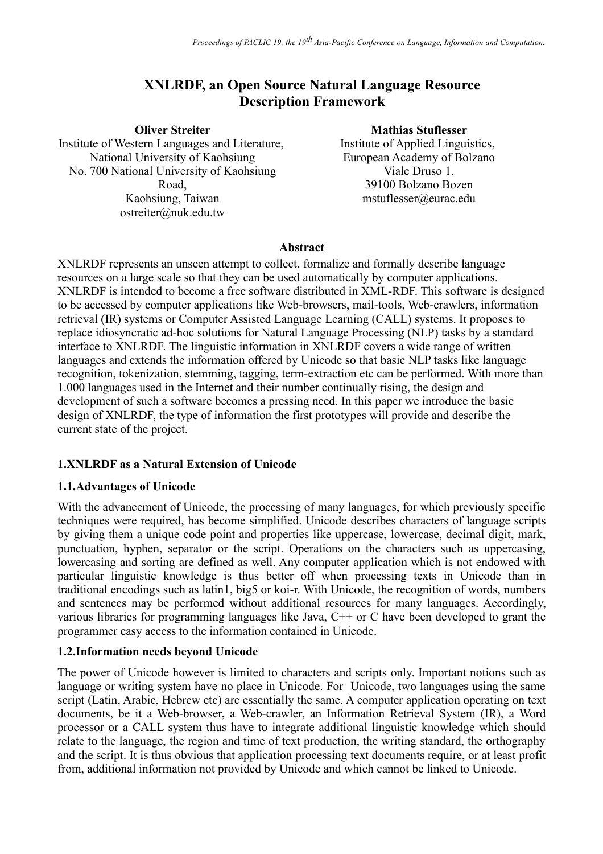# **XNLRDF, an Open Source Natural Language Resource Description Framework**

**Oliver Streiter** Institute of Western Languages and Literature, National University of Kaohsiung No. 700 National University of Kaohsiung Road, Kaohsiung, Taiwan ostreiter@nuk.edu.tw

#### **Mathias Stuflesser**

Institute of Applied Linguistics, European Academy of Bolzano Viale Druso 1. 39100 Bolzano Bozen mstuflesser@eurac.edu

#### **Abstract**

XNLRDF represents an unseen attempt to collect, formalize and formally describe language resources on a large scale so that they can be used automatically by computer applications. XNLRDF is intended to become a free software distributed in XML-RDF. This software is designed to be accessed by computer applications like Web-browsers, mail-tools, Web-crawlers, information retrieval (IR) systems or Computer Assisted Language Learning (CALL) systems. It proposes to replace idiosyncratic ad-hoc solutions for Natural Language Processing (NLP) tasks by a standard interface to XNLRDF. The linguistic information in XNLRDF covers a wide range of written languages and extends the information offered by Unicode so that basic NLP tasks like language recognition, tokenization, stemming, tagging, term-extraction etc can be performed. With more than 1.000 languages used in the Internet and their number continually rising, the design and development of such a software becomes a pressing need. In this paper we introduce the basic design of XNLRDF, the type of information the first prototypes will provide and describe the current state of the project.

#### **1.XNLRDF as a Natural Extension of Unicode**

#### **1.1.Advantages of Unicode**

With the advancement of Unicode, the processing of many languages, for which previously specific techniques were required, has become simplified. Unicode describes characters of language scripts by giving them a unique code point and properties like uppercase, lowercase, decimal digit, mark, punctuation, hyphen, separator or the script. Operations on the characters such as uppercasing, lowercasing and sorting are defined as well. Any computer application which is not endowed with particular linguistic knowledge is thus better off when processing texts in Unicode than in traditional encodings such as latin1, big5 or koi-r. With Unicode, the recognition of words, numbers and sentences may be performed without additional resources for many languages. Accordingly, various libraries for programming languages like Java, C++ or C have been developed to grant the programmer easy access to the information contained in Unicode.

#### **1.2.Information needs beyond Unicode**

The power of Unicode however is limited to characters and scripts only. Important notions such as language or writing system have no place in Unicode. For Unicode, two languages using the same script (Latin, Arabic, Hebrew etc) are essentially the same. A computer application operating on text documents, be it a Web-browser, a Web-crawler, an Information Retrieval System (IR), a Word processor or a CALL system thus have to integrate additional linguistic knowledge which should relate to the language, the region and time of text production, the writing standard, the orthography and the script. It is thus obvious that application processing text documents require, or at least profit from, additional information not provided by Unicode and which cannot be linked to Unicode.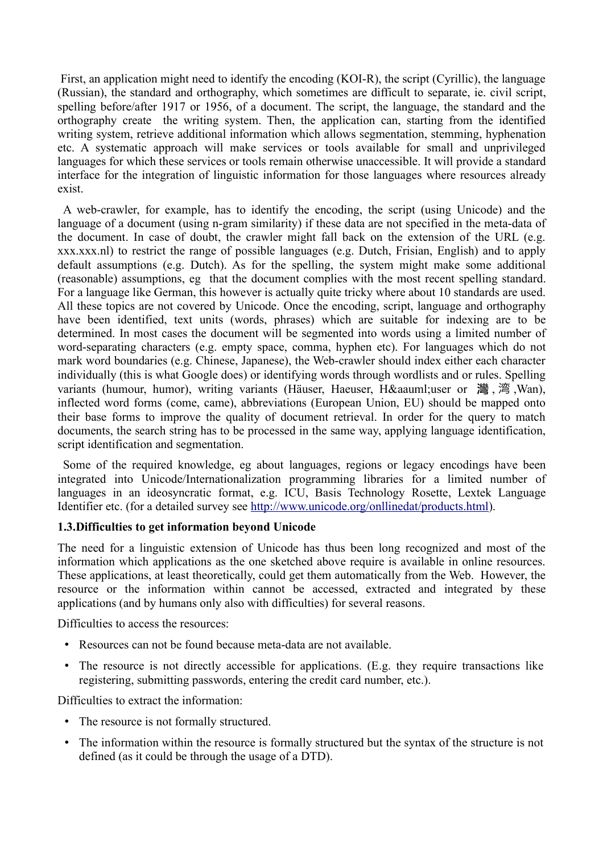First, an application might need to identify the encoding (KOI-R), the script (Cyrillic), the language (Russian), the standard and orthography, which sometimes are difficult to separate, ie. civil script, spelling before/after 1917 or 1956, of a document. The script, the language, the standard and the orthography create the writing system. Then, the application can, starting from the identified writing system, retrieve additional information which allows segmentation, stemming, hyphenation etc. A systematic approach will make services or tools available for small and unprivileged languages for which these services or tools remain otherwise unaccessible. It will provide a standard interface for the integration of linguistic information for those languages where resources already exist.

A web-crawler, for example, has to identify the encoding, the script (using Unicode) and the language of a document (using n-gram similarity) if these data are not specified in the meta-data of the document. In case of doubt, the crawler might fall back on the extension of the URL (e.g. xxx.xxx.nl) to restrict the range of possible languages (e.g. Dutch, Frisian, English) and to apply default assumptions (e.g. Dutch). As for the spelling, the system might make some additional (reasonable) assumptions, eg that the document complies with the most recent spelling standard. For a language like German, this however is actually quite tricky where about 10 standards are used. All these topics are not covered by Unicode. Once the encoding, script, language and orthography have been identified, text units (words, phrases) which are suitable for indexing are to be determined. In most cases the document will be segmented into words using a limited number of word-separating characters (e.g. empty space, comma, hyphen etc). For languages which do not mark word boundaries (e.g. Chinese, Japanese), the Web-crawler should index either each character individually (this is what Google does) or identifying words through wordlists and or rules. Spelling variants (humour, humor), writing variants (Häuser, Haeuser, H&aauml;user or 灣, 湾, Wan), inflected word forms (come, came), abbreviations (European Union, EU) should be mapped onto their base forms to improve the quality of document retrieval. In order for the query to match documents, the search string has to be processed in the same way, applying language identification, script identification and segmentation.

Some of the required knowledge, eg about languages, regions or legacy encodings have been integrated into Unicode/Internationalization programming libraries for a limited number of languages in an ideosyncratic format, e.g. ICU, Basis Technology Rosette, Lextek Language Identifier etc. (for a detailed survey see http://www.unicode.org/onllinedat/products.html).

#### **1.3.Difficulties to get information beyond Unicode**

The need for a linguistic extension of Unicode has thus been long recognized and most of the information which applications as the one sketched above require is available in online resources. These applications, at least theoretically, could get them automatically from the Web. However, the resource or the information within cannot be accessed, extracted and integrated by these applications (and by humans only also with difficulties) for several reasons.

Difficulties to access the resources:

- Resources can not be found because meta-data are not available.
- The resource is not directly accessible for applications. (E.g. they require transactions like registering, submitting passwords, entering the credit card number, etc.).

Difficulties to extract the information:

- The resource is not formally structured.
- The information within the resource is formally structured but the syntax of the structure is not defined (as it could be through the usage of a DTD).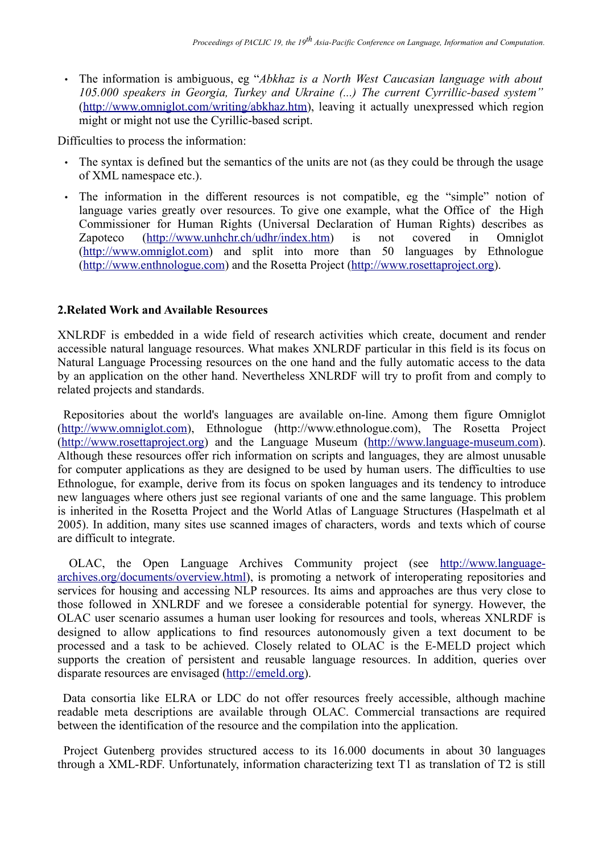• The information is ambiguous, eg "*Abkhaz is a North West Caucasian language with about 105.000 speakers in Georgia, Turkey and Ukraine (...) The current Cyrrillic-based system"* (http://www.omniglot.com/writing/abkhaz.htm), leaving it actually unexpressed which region might or might not use the Cyrillic-based script.

Difficulties to process the information:

- The syntax is defined but the semantics of the units are not (as they could be through the usage of XML namespace etc.).
- The information in the different resources is not compatible, eg the "simple" notion of language varies greatly over resources. To give one example, what the Office of the High Commissioner for Human Rights (Universal Declaration of Human Rights) describes as Zapoteco (http://www.unhchr.ch/udhr/index.htm) is not covered in Omniglot (http://www.omniglot.com) and split into more than 50 languages by Ethnologue (http://www.enthnologue.com) and the Rosetta Project (http://www.rosettaproject.org).

#### **2.Related Work and Available Resources**

XNLRDF is embedded in a wide field of research activities which create, document and render accessible natural language resources. What makes XNLRDF particular in this field is its focus on Natural Language Processing resources on the one hand and the fully automatic access to the data by an application on the other hand. Nevertheless XNLRDF will try to profit from and comply to related projects and standards.

Repositories about the world's languages are available on-line. Among them figure Omniglot (http://www.omniglot.com), Ethnologue (http://www.ethnologue.com), The Rosetta Project (http://www.rosettaproject.org) and the Language Museum (http://www.language-museum.com). Although these resources offer rich information on scripts and languages, they are almost unusable for computer applications as they are designed to be used by human users. The difficulties to use Ethnologue, for example, derive from its focus on spoken languages and its tendency to introduce new languages where others just see regional variants of one and the same language. This problem is inherited in the Rosetta Project and the World Atlas of Language Structures (Haspelmath et al 2005). In addition, many sites use scanned images of characters, words and texts which of course are difficult to integrate.

OLAC, the Open Language Archives Community project (see http://www.languagearchives.org/documents/overview.html), is promoting a network of interoperating repositories and services for housing and accessing NLP resources. Its aims and approaches are thus very close to those followed in XNLRDF and we foresee a considerable potential for synergy. However, the OLAC user scenario assumes a human user looking for resources and tools, whereas XNLRDF is designed to allow applications to find resources autonomously given a text document to be processed and a task to be achieved. Closely related to OLAC is the E-MELD project which supports the creation of persistent and reusable language resources. In addition, queries over disparate resources are envisaged (http://emeld.org).

Data consortia like ELRA or LDC do not offer resources freely accessible, although machine readable meta descriptions are available through OLAC. Commercial transactions are required between the identification of the resource and the compilation into the application.

Project Gutenberg provides structured access to its 16.000 documents in about 30 languages through a XML-RDF. Unfortunately, information characterizing text T1 as translation of T2 is still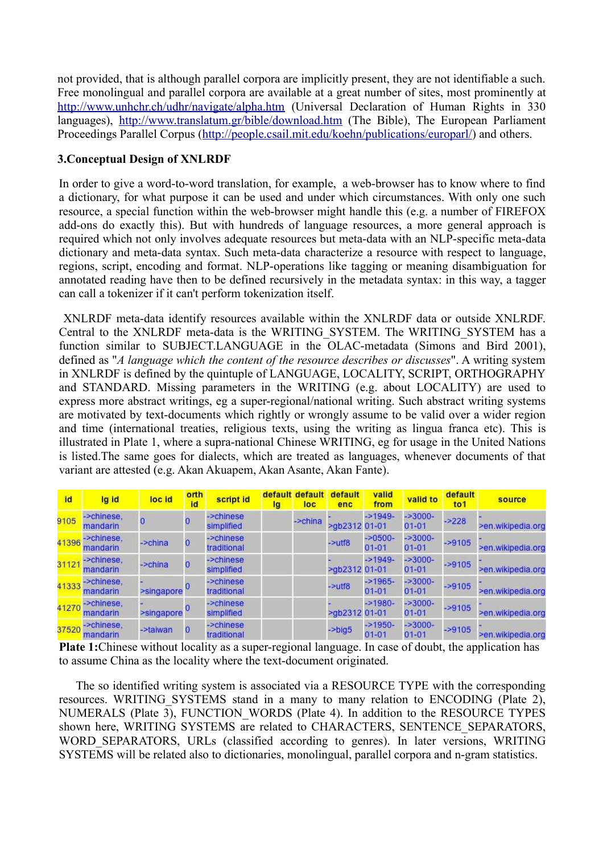not provided, that is although parallel corpora are implicitly present, they are not identifiable a such. Free monolingual and parallel corpora are available at a great number of sites, most prominently at http://www.unhchr.ch/udhr/navigate/alpha.htm (Universal Declaration of Human Rights in 330 languages), http://www.translatum.gr/bible/download.htm (The Bible), The European Parliament Proceedings Parallel Corpus (http://people.csail.mit.edu/koehn/publications/europarl/) and others.

## **3.Conceptual Design of XNLRDF**

In order to give a word-to-word translation, for example, a web-browser has to know where to find a dictionary, for what purpose it can be used and under which circumstances. With only one such resource, a special function within the web-browser might handle this (e.g. a number of FIREFOX add-ons do exactly this). But with hundreds of language resources, a more general approach is required which not only involves adequate resources but meta-data with an NLP-specific meta-data dictionary and meta-data syntax. Such meta-data characterize a resource with respect to language, regions, script, encoding and format. NLP-operations like tagging or meaning disambiguation for annotated reading have then to be defined recursively in the metadata syntax: in this way, a tagger can call a tokenizer if it can't perform tokenization itself.

XNLRDF meta-data identify resources available within the XNLRDF data or outside XNLRDF. Central to the XNLRDF meta-data is the WRITING\_SYSTEM. The WRITING\_SYSTEM has a function similar to SUBJECT.LANGUAGE in the OLAC-metadata (Simons and Bird 2001), defined as "*A language which the content of the resource describes or discusses*". A writing system in XNLRDF is defined by the quintuple of LANGUAGE, LOCALITY, SCRIPT, ORTHOGRAPHY and STANDARD. Missing parameters in the WRITING (e.g. about LOCALITY) are used to express more abstract writings, eg a super-regional/national writing. Such abstract writing systems are motivated by text-documents which rightly or wrongly assume to be valid over a wider region and time (international treaties, religious texts, using the writing as lingua franca etc). This is illustrated in Plate 1, where a supra-national Chinese WRITING, eg for usage in the United Nations is listed.The same goes for dialects, which are treated as languages, whenever documents of that variant are attested (e.g. Akan Akuapem, Akan Asante, Akan Fante).

| id    | lg id                  | loc id     | orth<br>id     | script id                | default<br>Ig | efault<br>loc | default<br>enc | valid<br>from          | valid to               | default<br>to <sub>1</sub> | source            |
|-------|------------------------|------------|----------------|--------------------------|---------------|---------------|----------------|------------------------|------------------------|----------------------------|-------------------|
| 9105  | ->chinese.<br>mandarin | O          | 0              | ->chinese<br>simplified  |               | ->china       | >ab2312 01-01  | $-21949-$              | $-23000-$<br>$01 - 01$ | $-2228$                    | >en.wikipedia.org |
| 41396 | ->chinese.<br>mandarin | ->china    | $\overline{0}$ | ->chinese<br>traditional |               |               | $-2$ utf $8$   | $-20500-$<br>$01 - 01$ | $-23000-$<br>$01 - 01$ | $-29105$                   | >en.wikipedia.org |
| 31121 | ->chinese.<br>mandarin | ->china    | $\overline{0}$ | ->chinese<br>simplified  |               |               | >ab2312 01-01  | $-21949-$              | $-3000-$<br>$01 - 01$  | $-29105$                   | >en.wikipedia.org |
| 41333 | ->chinese.<br>mandarin | >singapore |                | ->chinese<br>traditional |               |               | $ >$ utf8      | $-21965-$<br>$01 - 01$ | $-23000-$<br>$01 - 01$ | $-29105$                   | >en.wikipedia.org |
| 41270 | ->chinese.<br>mandarin | >singapore |                | ->chinese<br>simplified  |               |               | >gb2312 01-01  | $-21980-$              | $-3000-$<br>$01 - 01$  | $-29105$                   | >en.wikipedia.org |
| 37520 | ->chinese.<br>mandarin | ->taiwan   | $\overline{0}$ | ->chinese<br>traditional |               |               | $-$ >big5      | $-21950-$<br>$01 - 01$ | $-23000-$<br>$01 - 01$ | $-29105$                   | >en.wikipedia.org |

**Plate 1:**Chinese without locality as a super-regional language. In case of doubt, the application has to assume China as the locality where the text-document originated.

The so identified writing system is associated via a RESOURCE TYPE with the corresponding resources. WRITING SYSTEMS stand in a many to many relation to ENCODING (Plate 2), NUMERALS (Plate 3), FUNCTION\_WORDS (Plate 4). In addition to the RESOURCE TYPES shown here, WRITING SYSTEMS are related to CHARACTERS, SENTENCE SEPARATORS, WORD SEPARATORS, URLs (classified according to genres). In later versions, WRITING SYSTEMS will be related also to dictionaries, monolingual, parallel corpora and n-gram statistics.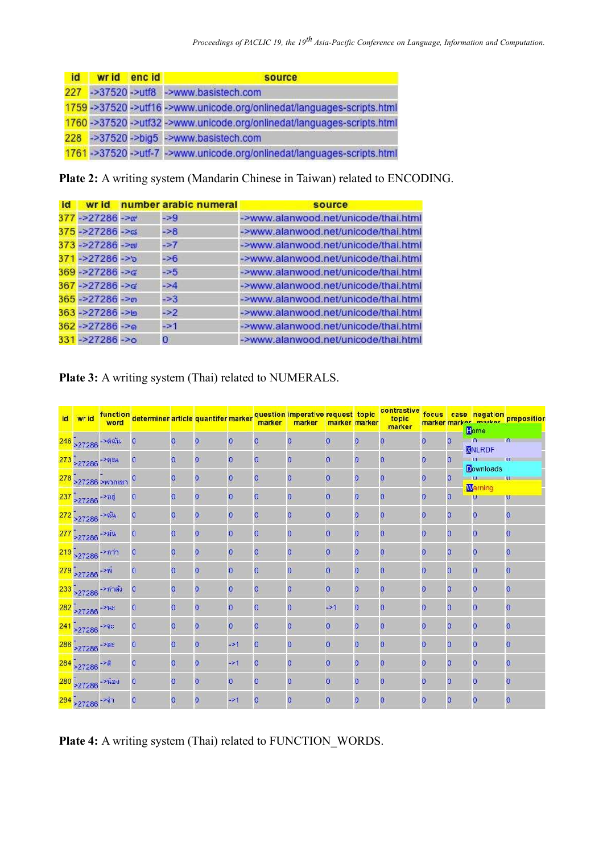| <b>id</b> | wrid encid | source                                                                  |
|-----------|------------|-------------------------------------------------------------------------|
|           |            | 227 ->37520 ->utf8 ->www.basistech.com                                  |
|           |            | 1759 ->37520 ->utf16 ->www.unicode.org/onlinedat/languages-scripts.html |
|           |            | 1760 ->37520 ->utf32 ->www.unicode.org/onlinedat/languages-scripts.html |
|           |            | 228 ->37520 ->big5 ->www.basistech.com                                  |
|           |            | 1761->37520->utf-7->www.unicode.org/onlinedat/languages-scripts.html    |

**Plate 2:** A writing system (Mandarin Chinese in Taiwan) related to ENCODING.

| <b>id</b> |                     | wr id number arabic numeral | source                               |
|-----------|---------------------|-----------------------------|--------------------------------------|
|           | $377 - 27286 - 20$  | $-29$                       | ->www.alanwood.net/unicode/thai.html |
|           | 375->27286->๘       | $-28$                       | ->www.alanwood.net/unicode/thai.html |
|           | $373 - 27286 - 201$ | $-27$                       | ->www.alanwood.net/unicode/thai.html |
|           | $371 - 27286 - 25$  | $-26$                       | ->www.alanwood.net/unicode/thai.html |
|           | $369 - 27286 - 26$  | $-25$                       | ->www.alanwood.net/unicode/thai.html |
|           | $367 - 27286 - 86$  | $-24$                       | ->www.alanwood.net/unicode/thai.html |
|           | $365 - 27286 - 90$  | $-23$                       | ->www.alanwood.net/unicode/thai.html |
|           | 363->27286->0       | $\rightarrow$ 2             | ->www.alanwood.net/unicode/thai.html |
|           | $362 - 27286 - 89$  | $-21$                       | ->www.alanwood.net/unicode/thai.html |
|           | $331 - 27286 - 6$   | 0                           | ->www.alanwood.net/unicode/thai.html |

# **Plate 3:** A writing system (Thai) related to NUMERALS.

| id wrid                                  | word                    | function<br>word determiner article quantifer marker question imperative request topic |          |                |                 | marker         | marker         | marker marker   |                | contrastive<br>topic |                |                |                                    | focus case negation preposition |
|------------------------------------------|-------------------------|----------------------------------------------------------------------------------------|----------|----------------|-----------------|----------------|----------------|-----------------|----------------|----------------------|----------------|----------------|------------------------------------|---------------------------------|
|                                          |                         |                                                                                        |          |                |                 |                |                |                 |                | marker               |                |                | Lome                               |                                 |
| 246 -<br>27286 <sup>-&gt;ดิฉัน</sup>     |                         | $\overline{0}$                                                                         | $\Omega$ | $\overline{0}$ | $\overline{0}$  | $\overline{0}$ | $\overline{0}$ | $\overline{0}$  | $\overline{0}$ | $\Omega$             | $\overline{0}$ | $\overline{0}$ | <b>NNLRDF</b>                      |                                 |
| $\frac{273}{277286}$ - 2714              |                         |                                                                                        | 0        | $\overline{0}$ | $\overline{0}$  | $\overline{0}$ | 0              | $\overline{0}$  | $\overline{0}$ | $\overline{0}$       | 0              | $\overline{0}$ | $\blacksquare$<br><b>Downloads</b> |                                 |
|                                          | 278 -<br>277286 >พวกเขา |                                                                                        |          | $\overline{0}$ | $\overline{0}$  | $\overline{0}$ | $\overline{0}$ | $\overline{0}$  | 0              | $\overline{0}$       | 0              | $\overline{0}$ |                                    | $\overline{u}$                  |
| 237 - 27286 - 201                        |                         |                                                                                        |          | $\overline{0}$ | $\overline{0}$  | $\overline{0}$ | 0              | $\overline{0}$  | $\overline{0}$ | $\overline{0}$       | 0              | $\overline{0}$ | <b>Warning</b><br>U                | U                               |
| $\frac{272}{27286}$ - 214                |                         | $\mathbf{0}$                                                                           | n        | $\overline{0}$ | $\overline{0}$  | $\overline{0}$ | $\overline{0}$ | $\overline{0}$  | $\mathbf{0}$   | $\Omega$             | $\overline{0}$ | $\overline{0}$ | $\overline{0}$                     | $\overline{0}$                  |
| 277 - 27286 - 24Th                       |                         |                                                                                        |          | $\overline{0}$ | $\overline{0}$  | $\overline{0}$ | O              | $\overline{0}$  | $\Omega$       | $\Omega$             | 0              | $\overline{0}$ | $\overline{0}$                     | O                               |
| $219$ > 27286 ->n11                      |                         | $\mathbf{O}$                                                                           | 0        | 0              | $\overline{0}$  | $\overline{0}$ | 0              | $\overline{0}$  | $\sigma$       | $\overline{0}$       | 0              | $\overline{0}$ | $\overline{0}$                     | $\mathbf{O}$                    |
| 279 > 27286 <sup>-&gt;พี</sup>           |                         |                                                                                        | Ω        | $\overline{0}$ | 0               | $\overline{0}$ | $\overline{0}$ | $\overline{0}$  | $\overline{O}$ | $\Omega$             | 0              | 0              | $\overline{0}$                     | $\overline{O}$                  |
| 233 -<br>27286 <sup>-&gt;กำลัง</sup>     |                         | $\mathbf{O}$                                                                           |          | 0              | 0               | $\overline{0}$ | $\overline{0}$ | $\overline{0}$  | $\overline{0}$ | $\overline{0}$       | $\overline{0}$ | $\overline{0}$ | $\mathbf 0$                        | $\overline{0}$                  |
| $\frac{282}{277286}$ <sup>-&gt;us</sup>  |                         | $\Omega$                                                                               |          | $\overline{0}$ | $\overline{0}$  | $\overline{0}$ | $\Omega$       | $\rightarrow$ 1 | $\overline{0}$ | $\Omega$             | $\overline{0}$ | $\overline{0}$ | $\overline{0}$                     | $\Omega$                        |
| $\frac{241}{277286}$ <sup>-&gt;08</sup>  |                         |                                                                                        | 0        | $\mathbf 0$    | $\overline{0}$  | $\overline{0}$ | $\overline{0}$ | $\overline{0}$  | $\mathbf{0}$   | $\overline{0}$       | 0              | $\overline{0}$ | $\overline{0}$                     | $\overline{0}$                  |
| $\frac{286}{277286}$ <sup>-&gt;as</sup>  |                         | 0                                                                                      | 0        | $\overline{0}$ | $-21$           | $\overline{0}$ | O              | $\overline{0}$  | $\overline{0}$ | $\Omega$             | $\overline{0}$ | $\overline{0}$ | $\overline{0}$                     | $\Omega$                        |
| $\frac{284}{277286}$ <sup>-&gt;a</sup>   |                         |                                                                                        |          | $\overline{0}$ | $\rightarrow$ 1 | $\overline{0}$ | $\Omega$       | $\overline{0}$  | 0              | $\overline{0}$       | 0              | $\overline{0}$ | $\overline{0}$                     | 0                               |
| $\frac{280}{277286}$ <sup>-&gt;ŭas</sup> |                         | 0                                                                                      | Ω        | $\overline{0}$ | $\overline{0}$  | $\overline{0}$ | $\overline{0}$ | $\overline{0}$  | $\overline{0}$ | $\Omega$             | $\overline{0}$ | $\overline{0}$ | $\overline{0}$                     | $\overline{0}$                  |
| $294$ $>27286$ $-301$                    |                         | 0                                                                                      | 0        | $\overline{0}$ | $\rightarrow$ 1 | $\overline{0}$ | 0              | $\overline{0}$  | $\mathbf{0}$   | $\circ$              | 0              | 0              | $\mathbf{0}$                       | $\overline{0}$                  |

**Plate 4:** A writing system (Thai) related to FUNCTION\_WORDS.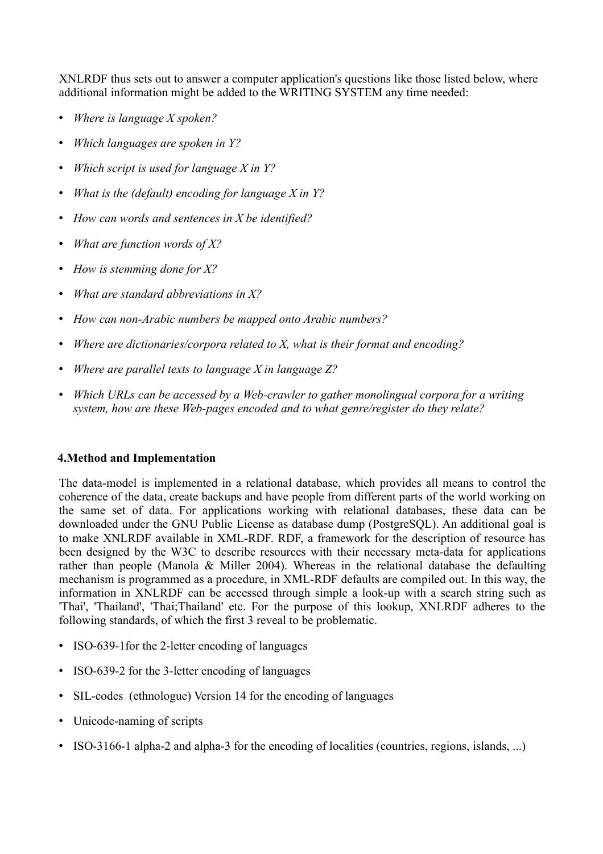XNLRDF thus sets out to answer a computer application's questions like those listed below, where additional information might be added to the WRITING SYSTEM any time needed:

- *Where is language X spoken?*
- *Which languages are spoken in Y?*
- *Which script is used for language X in Y?*
- *What is the (default) encoding for language X in Y?*
- *How can words and sentences in X be identified?*
- *What are function words of X?*
- *How is stemming done for X?*
- *What are standard abbreviations in X?*
- *How can non-Arabic numbers be mapped onto Arabic numbers?*
- *Where are dictionaries/corpora related to X, what is their format and encoding?*
- *Where are parallel texts to language X in language Z?*
- *Which URLs can be accessed by a Web-crawler to gather monolingual corpora for a writing system, how are these Web-pages encoded and to what genre/register do they relate?*

#### **4.Method and Implementation**

The data-model is implemented in a relational database, which provides all means to control the coherence of the data, create backups and have people from different parts of the world working on the same set of data. For applications working with relational databases, these data can be downloaded under the GNU Public License as database dump (PostgreSQL). An additional goal is to make XNLRDF available in XML-RDF. RDF, a framework for the description of resource has been designed by the W3C to describe resources with their necessary meta-data for applications rather than people (Manola & Miller 2004). Whereas in the relational database the defaulting mechanism is programmed as a procedure, in XML-RDF defaults are compiled out. In this way, the information in XNLRDF can be accessed through simple a look-up with a search string such as 'Thai', 'Thailand', 'Thai;Thailand' etc. For the purpose of this lookup, XNLRDF adheres to the following standards, of which the first 3 reveal to be problematic.

- ISO-639-1 for the 2-letter encoding of languages
- ISO-639-2 for the 3-letter encoding of languages
- SIL-codes (ethnologue) Version 14 for the encoding of languages
- Unicode-naming of scripts
- ISO-3166-1 alpha-2 and alpha-3 for the encoding of localities (countries, regions, islands, ...)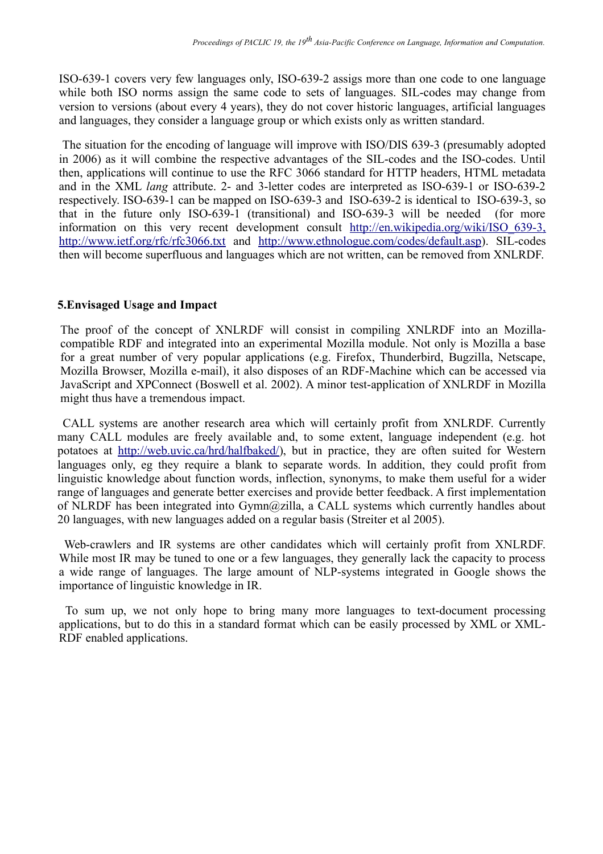ISO-639-1 covers very few languages only, ISO-639-2 assigs more than one code to one language while both ISO norms assign the same code to sets of languages. SIL-codes may change from version to versions (about every 4 years), they do not cover historic languages, artificial languages and languages, they consider a language group or which exists only as written standard.

The situation for the encoding of language will improve with ISO/DIS 639-3 (presumably adopted in 2006) as it will combine the respective advantages of the SIL-codes and the ISO-codes. Until then, applications will continue to use the RFC 3066 standard for HTTP headers, HTML metadata and in the XML *lang* attribute. 2- and 3-letter codes are interpreted as ISO-639-1 or ISO-639-2 respectively. ISO-639-1 can be mapped on ISO-639-3 and ISO-639-2 is identical to ISO-639-3, so that in the future only ISO-639-1 (transitional) and ISO-639-3 will be needed (for more information on this very recent development consult http://en.wikipedia.org/wiki/ISO\_639-3, http://www.ietf.org/rfc/rfc3066.txt and http://www.ethnologue.com/codes/default.asp). SIL-codes then will become superfluous and languages which are not written, can be removed from XNLRDF.

#### **5.Envisaged Usage and Impact**

The proof of the concept of XNLRDF will consist in compiling XNLRDF into an Mozillacompatible RDF and integrated into an experimental Mozilla module. Not only is Mozilla a base for a great number of very popular applications (e.g. Firefox, Thunderbird, Bugzilla, Netscape, Mozilla Browser, Mozilla e-mail), it also disposes of an RDF-Machine which can be accessed via JavaScript and XPConnect (Boswell et al. 2002). A minor test-application of XNLRDF in Mozilla might thus have a tremendous impact.

CALL systems are another research area which will certainly profit from XNLRDF. Currently many CALL modules are freely available and, to some extent, language independent (e.g. hot potatoes at http://web.uvic.ca/hrd/halfbaked/), but in practice, they are often suited for Western languages only, eg they require a blank to separate words. In addition, they could profit from linguistic knowledge about function words, inflection, synonyms, to make them useful for a wider range of languages and generate better exercises and provide better feedback. A first implementation of NLRDF has been integrated into Gymn@zilla, a CALL systems which currently handles about 20 languages, with new languages added on a regular basis (Streiter et al 2005).

Web-crawlers and IR systems are other candidates which will certainly profit from XNLRDF. While most IR may be tuned to one or a few languages, they generally lack the capacity to process a wide range of languages. The large amount of NLP-systems integrated in Google shows the importance of linguistic knowledge in IR.

To sum up, we not only hope to bring many more languages to text-document processing applications, but to do this in a standard format which can be easily processed by XML or XML-RDF enabled applications.